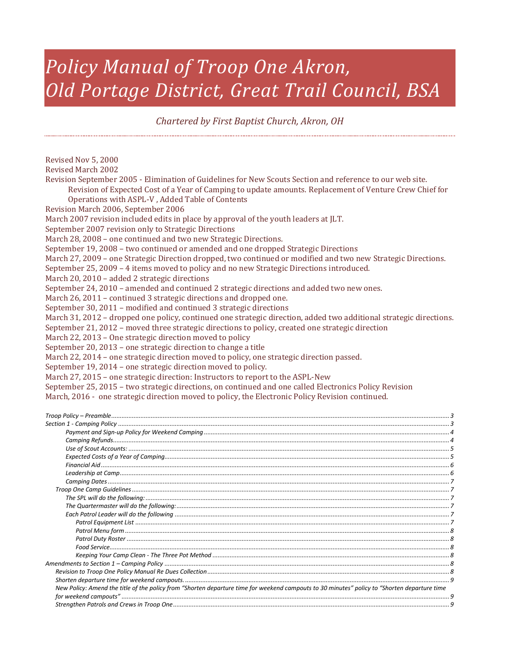# *Policy Manual of Troop One Akron, Old Portage District, Great Trail Council, BSA*

*Chartered by First Baptist Church, Akron, OH*

Revised Nov 5, 2000 Revised March 2002 Revision September 2005 - Elimination of Guidelines for New Scouts Section and reference to our web site. Revision of Expected Cost of a Year of Camping to update amounts. Replacement of Venture Crew Chief for Operations with ASPL-V , Added Table of Contents Revision March 2006, September 2006 March 2007 revision included edits in place by approval of the youth leaders at JLT. September 2007 revision only to Strategic Directions March 28, 2008 – one continued and two new Strategic Directions. September 19, 2008 – two continued or amended and one dropped Strategic Directions March 27, 2009 – one Strategic Direction dropped, two continued or modified and two new Strategic Directions. September 25, 2009 – 4 items moved to policy and no new Strategic Directions introduced. March 20, 2010 – added 2 strategic directions September 24, 2010 – amended and continued 2 strategic directions and added two new ones. March 26, 2011 – continued 3 strategic directions and dropped one. September 30, 2011 – modified and continued 3 strategic directions March 31, 2012 – dropped one policy, continued one strategic direction, added two additional strategic directions. September 21, 2012 – moved three strategic directions to policy, created one strategic direction March 22, 2013 – One strategic direction moved to policy September 20, 2013 – one strategic direction to change a title March 22, 2014 – one strategic direction moved to policy, one strategic direction passed. September 19, 2014 – one strategic direction moved to policy. March 27, 2015 – one strategic direction: Instructors to report to the ASPL-New September 25, 2015 – two strategic directions, on continued and one called Electronics Policy Revision March, 2016 - one strategic direction moved to policy, the Electronic Policy Revision continued.

| New Policy: Amend the title of the policy from "Shorten departure time for weekend campouts to 30 minutes" policy to "Shorten departure time |  |
|----------------------------------------------------------------------------------------------------------------------------------------------|--|
|                                                                                                                                              |  |
|                                                                                                                                              |  |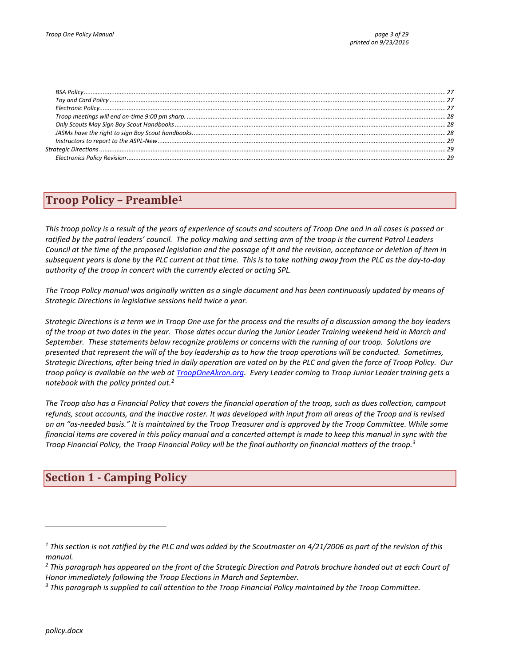# <span id="page-2-0"></span>**Troop Policy – Preamble<sup>1</sup>**

*This troop policy is a result of the years of experience of scouts and scouters of Troop One and in all cases is passed or ratified by the patrol leaders' council. The policy making and setting arm of the troop is the current Patrol Leaders Council at the time of the proposed legislation and the passage of it and the revision, acceptance or deletion of item in subsequent years is done by the PLC current at that time. This is to take nothing away from the PLC as the day-to-day authority of the troop in concert with the currently elected or acting SPL.*

*The Troop Policy manual was originally written as a single document and has been continuously updated by means of Strategic Directions in legislative sessions held twice a year.*

*Strategic Directions is a term we in Troop One use for the process and the results of a discussion among the boy leaders of the troop at two dates in the year. Those dates occur during the Junior Leader Training weekend held in March and September. These statements below recognize problems or concerns with the running of our troop. Solutions are presented that represent the will of the boy leadership as to how the troop operations will be conducted. Sometimes, Strategic Directions, after being tried in daily operation are voted on by the PLC and given the force of Troop Policy. Our troop policy is available on the web a[t TroopOneAkron.org.](http://trooponeakron.org/) Every Leader coming to Troop Junior Leader training gets a notebook with the policy printed out.<sup>2</sup>*

*The Troop also has a Financial Policy that covers the financial operation of the troop, such as dues collection, campout refunds, scout accounts, and the inactive roster. It was developed with input from all areas of the Troop and is revised on an "as-needed basis." It is maintained by the Troop Treasurer and is approved by the Troop Committee. While some financial items are covered in this policy manual and a concerted attempt is made to keep this manual in sync with the Troop Financial Policy, the Troop Financial Policy will be the final authority on financial matters of the troop.<sup>3</sup>*

# <span id="page-2-1"></span>**Section 1 - Camping Policy**

*<sup>1</sup> This section is not ratified by the PLC and was added by the Scoutmaster on 4/21/2006 as part of the revision of this manual.*

*<sup>2</sup> This paragraph has appeared on the front of the Strategic Direction and Patrols brochure handed out at each Court of Honor immediately following the Troop Elections in March and September.*

*<sup>3</sup> This paragraph is supplied to call attention to the Troop Financial Policy maintained by the Troop Committee.*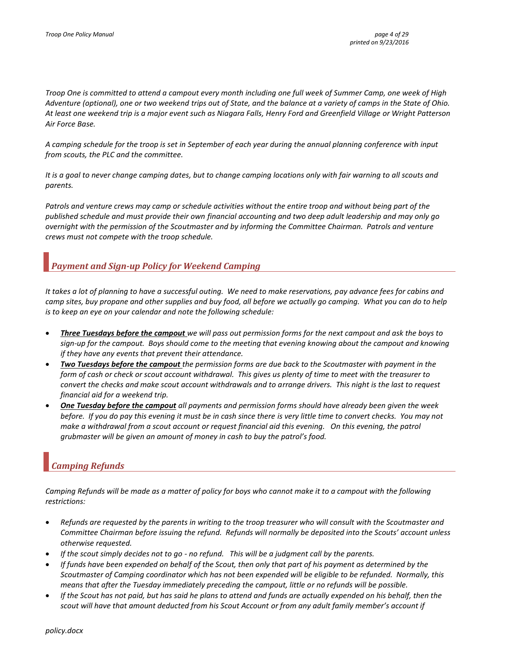*Troop One is committed to attend a campout every month including one full week of Summer Camp, one week of High Adventure (optional), one or two weekend trips out of State, and the balance at a variety of camps in the State of Ohio. At least one weekend trip is a major event such as Niagara Falls, Henry Ford and Greenfield Village or Wright Patterson Air Force Base.*

*A camping schedule for the troop is set in September of each year during the annual planning conference with input from scouts, the PLC and the committee.*

*It is a goal to never change camping dates, but to change camping locations only with fair warning to all scouts and parents.*

*Patrols and venture crews may camp or schedule activities without the entire troop and without being part of the published schedule and must provide their own financial accounting and two deep adult leadership and may only go overnight with the permission of the Scoutmaster and by informing the Committee Chairman. Patrols and venture crews must not compete with the troop schedule.*

### <span id="page-3-0"></span>*Payment and Sign-up Policy for Weekend Camping*

*It takes a lot of planning to have a successful outing. We need to make reservations, pay advance fees for cabins and camp sites, buy propane and other supplies and buy food, all before we actually go camping. What you can do to help is to keep an eye on your calendar and note the following schedule:*

- *Three Tuesdays before the campout we will pass out permission forms for the next campout and ask the boys to sign-up for the campout. Boys should come to the meeting that evening knowing about the campout and knowing if they have any events that prevent their attendance.*
- *Two Tuesdays before the campout the permission forms are due back to the Scoutmaster with payment in the form of cash or check or scout account withdrawal. This gives us plenty of time to meet with the treasurer to convert the checks and make scout account withdrawals and to arrange drivers. This night is the last to request financial aid for a weekend trip.*
- *One Tuesday before the campout all payments and permission forms should have already been given the week before. If you do pay this evening it must be in cash since there is very little time to convert checks. You may not make a withdrawal from a scout account or request financial aid this evening. On this evening, the patrol grubmaster will be given an amount of money in cash to buy the patrol's food.*

# <span id="page-3-1"></span>*Camping Refunds*

*Camping Refunds will be made as a matter of policy for boys who cannot make it to a campout with the following restrictions:*

- *Refunds are requested by the parents in writing to the troop treasurer who will consult with the Scoutmaster and Committee Chairman before issuing the refund. Refunds will normally be deposited into the Scouts' account unless otherwise requested.*
- *If the scout simply decides not to go - no refund. This will be a judgment call by the parents.*
- *If funds have been expended on behalf of the Scout, then only that part of his payment as determined by the Scoutmaster of Camping coordinator which has not been expended will be eligible to be refunded. Normally, this means that after the Tuesday immediately preceding the campout, little or no refunds will be possible.*
- *If the Scout has not paid, but has said he plans to attend and funds are actually expended on his behalf, then the scout will have that amount deducted from his Scout Account or from any adult family member's account if*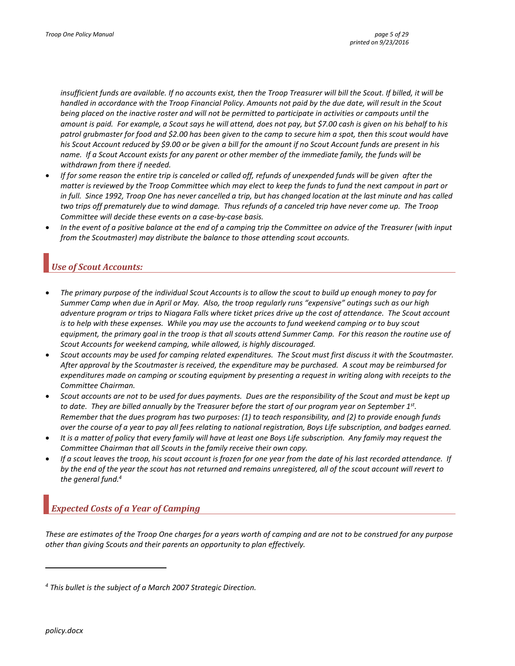*insufficient funds are available. If no accounts exist, then the Troop Treasurer will bill the Scout. If billed, it will be handled in accordance with the Troop Financial Policy. Amounts not paid by the due date, will result in the Scout being placed on the inactive roster and will not be permitted to participate in activities or campouts until the amount is paid. For example, a Scout says he will attend, does not pay, but \$7.00 cash is given on his behalf to his patrol grubmaster for food and \$2.00 has been given to the camp to secure him a spot, then this scout would have his Scout Account reduced by \$9.00 or be given a bill for the amount if no Scout Account funds are present in his name. If a Scout Account exists for any parent or other member of the immediate family, the funds will be withdrawn from there if needed.*

- *If for some reason the entire trip is canceled or called off, refunds of unexpended funds will be given after the matter is reviewed by the Troop Committee which may elect to keep the funds to fund the next campout in part or in full. Since 1992, Troop One has never cancelled a trip, but has changed location at the last minute and has called two trips off prematurely due to wind damage. Thus refunds of a canceled trip have never come up. The Troop Committee will decide these events on a case-by-case basis.*
- *In the event of a positive balance at the end of a camping trip the Committee on advice of the Treasurer (with input from the Scoutmaster) may distribute the balance to those attending scout accounts.*

### <span id="page-4-0"></span>*Use of Scout Accounts:*

- *The primary purpose of the individual Scout Accounts is to allow the scout to build up enough money to pay for Summer Camp when due in April or May. Also, the troop regularly runs "expensive" outings such as our high adventure program or trips to Niagara Falls where ticket prices drive up the cost of attendance. The Scout account is to help with these expenses. While you may use the accounts to fund weekend camping or to buy scout equipment, the primary goal in the troop is that all scouts attend Summer Camp. For this reason the routine use of Scout Accounts for weekend camping, while allowed, is highly discouraged.*
- *Scout accounts may be used for camping related expenditures. The Scout must first discuss it with the Scoutmaster. After approval by the Scoutmaster is received, the expenditure may be purchased. A scout may be reimbursed for expenditures made on camping or scouting equipment by presenting a request in writing along with receipts to the Committee Chairman.*
- *Scout accounts are not to be used for dues payments. Dues are the responsibility of the Scout and must be kept up to date. They are billed annually by the Treasurer before the start of our program year on September 1st . Remember that the dues program has two purposes: (1) to teach responsibility, and (2) to provide enough funds over the course of a year to pay all fees relating to national registration, Boys Life subscription, and badges earned.*
- *It is a matter of policy that every family will have at least one Boys Life subscription. Any family may request the Committee Chairman that all Scouts in the family receive their own copy.*
- *If a scout leaves the troop, his scout account is frozen for one year from the date of his last recorded attendance. If by the end of the year the scout has not returned and remains unregistered, all of the scout account will revert to the general fund.<sup>4</sup>*

# <span id="page-4-1"></span>*Expected Costs of a Year of Camping*

*These are estimates of the Troop One charges for a years worth of camping and are not to be construed for any purpose other than giving Scouts and their parents an opportunity to plan effectively.*

*<sup>4</sup> This bullet is the subject of a March 2007 Strategic Direction.*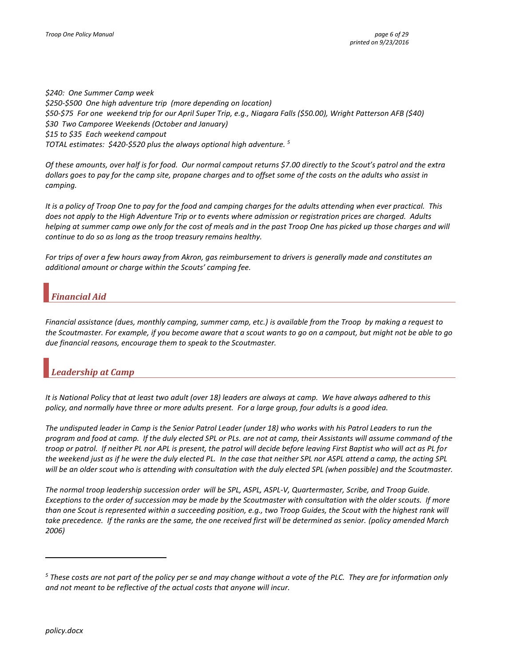*\$240: One Summer Camp week \$250-\$500 One high adventure trip (more depending on location) \$50-\$75 For one weekend trip for our April Super Trip, e.g., Niagara Falls (\$50.00), Wright Patterson AFB (\$40) \$30 Two Camporee Weekends (October and January) \$15 to \$35 Each weekend campout TOTAL estimates: \$420-\$520 plus the always optional high adventure. <sup>5</sup>*

*Of these amounts, over half is for food. Our normal campout returns \$7.00 directly to the Scout's patrol and the extra dollars goes to pay for the camp site, propane charges and to offset some of the costs on the adults who assist in camping.* 

*It is a policy of Troop One to pay for the food and camping charges for the adults attending when ever practical. This does not apply to the High Adventure Trip or to events where admission or registration prices are charged. Adults helping at summer camp owe only for the cost of meals and in the past Troop One has picked up those charges and will continue to do so as long as the troop treasury remains healthy.*

*For trips of over a few hours away from Akron, gas reimbursement to drivers is generally made and constitutes an additional amount or charge within the Scouts' camping fee.*

### <span id="page-5-0"></span>*Financial Aid*

*Financial assistance (dues, monthly camping, summer camp, etc.) is available from the Troop by making a request to the Scoutmaster. For example, if you become aware that a scout wants to go on a campout, but might not be able to go due financial reasons, encourage them to speak to the Scoutmaster.*

# <span id="page-5-1"></span>*Leadership at Camp*

*It is National Policy that at least two adult (over 18) leaders are always at camp. We have always adhered to this policy, and normally have three or more adults present. For a large group, four adults is a good idea.*

*The undisputed leader in Camp is the Senior Patrol Leader (under 18) who works with his Patrol Leaders to run the program and food at camp. If the duly elected SPL or PLs. are not at camp, their Assistants will assume command of the troop or patrol. If neither PL nor APL is present, the patrol will decide before leaving First Baptist who will act as PL for the weekend just as if he were the duly elected PL. In the case that neither SPL nor ASPL attend a camp, the acting SPL will be an older scout who is attending with consultation with the duly elected SPL (when possible) and the Scoutmaster.* 

*The normal troop leadership succession order will be SPL, ASPL, ASPL-V, Quartermaster, Scribe, and Troop Guide. Exceptions to the order of succession may be made by the Scoutmaster with consultation with the older scouts. If more than one Scout is represented within a succeeding position, e.g., two Troop Guides, the Scout with the highest rank will take precedence. If the ranks are the same, the one received first will be determined as senior. (policy amended March 2006)*

*<sup>5</sup> These costs are not part of the policy per se and may change without a vote of the PLC. They are for information only and not meant to be reflective of the actual costs that anyone will incur.*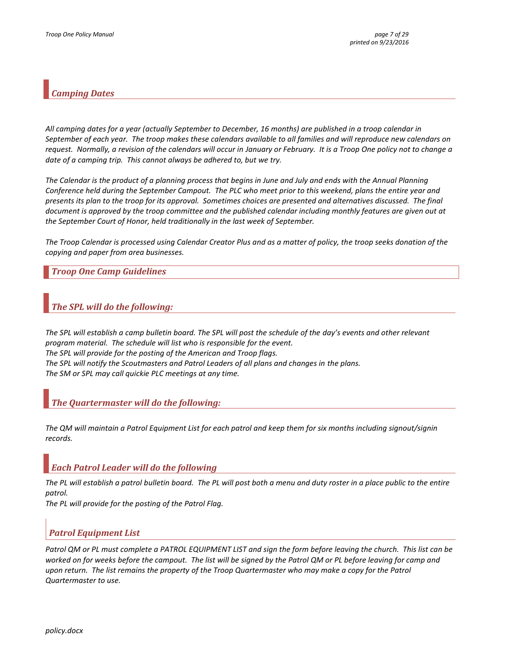### <span id="page-6-0"></span>*Camping Dates*

*All camping dates for a year (actually September to December, 16 months) are published in a troop calendar in September of each year. The troop makes these calendars available to all families and will reproduce new calendars on request. Normally, a revision of the calendars will occur in January or February. It is a Troop One policy not to change a date of a camping trip. This cannot always be adhered to, but we try.*

*The Calendar is the product of a planning process that begins in June and July and ends with the Annual Planning Conference held during the September Campout. The PLC who meet prior to this weekend, plans the entire year and presents its plan to the troop for its approval. Sometimes choices are presented and alternatives discussed. The final document is approved by the troop committee and the published calendar including monthly features are given out at the September Court of Honor, held traditionally in the last week of September.*

*The Troop Calendar is processed using Calendar Creator Plus and as a matter of policy, the troop seeks donation of the copying and paper from area businesses.*

### <span id="page-6-1"></span>*Troop One Camp Guidelines*

### <span id="page-6-2"></span>*The SPL will do the following:*

*The SPL will establish a camp bulletin board. The SPL will post the schedule of the day's events and other relevant program material. The schedule will list who is responsible for the event. The SPL will provide for the posting of the American and Troop flags. The SPL will notify the Scoutmasters and Patrol Leaders of all plans and changes in the plans. The SM or SPL may call quickie PLC meetings at any time.* 

### <span id="page-6-3"></span>*The Quartermaster will do the following:*

*The QM will maintain a Patrol Equipment List for each patrol and keep them for six months including signout/signin records.*

### <span id="page-6-4"></span>*Each Patrol Leader will do the following*

*The PL will establish a patrol bulletin board. The PL will post both a menu and duty roster in a place public to the entire patrol.*

*The PL will provide for the posting of the Patrol Flag.*

### <span id="page-6-5"></span>*Patrol Equipment List*

Patrol QM or PL must complete a PATROL EQUIPMENT LIST and sign the form before leaving the church. This list can be *worked on for weeks before the campout. The list will be signed by the Patrol QM or PL before leaving for camp and upon return. The list remains the property of the Troop Quartermaster who may make a copy for the Patrol Quartermaster to use.*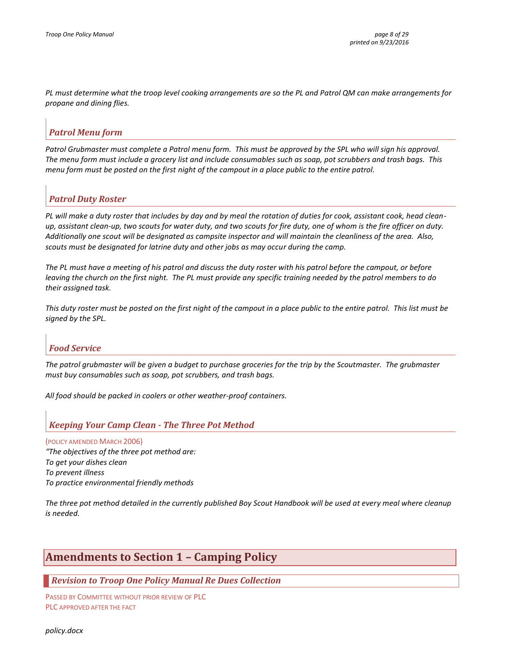*PL must determine what the troop level cooking arrangements are so the PL and Patrol QM can make arrangements for propane and dining flies.*

### <span id="page-7-0"></span>*Patrol Menu form*

Patrol Grubmaster must complete a Patrol menu form. This must be approved by the SPL who will sign his approval. *The menu form must include a grocery list and include consumables such as soap, pot scrubbers and trash bags. This menu form must be posted on the first night of the campout in a place public to the entire patrol.*

### <span id="page-7-1"></span>*Patrol Duty Roster*

*PL will make a duty roster that includes by day and by meal the rotation of duties for cook, assistant cook, head cleanup, assistant clean-up, two scouts for water duty, and two scouts for fire duty, one of whom is the fire officer on duty. Additionally one scout will be designated as campsite inspector and will maintain the cleanliness of the area. Also, scouts must be designated for latrine duty and other jobs as may occur during the camp.* 

*The PL must have a meeting of his patrol and discuss the duty roster with his patrol before the campout, or before leaving the church on the first night. The PL must provide any specific training needed by the patrol members to do their assigned task.*

*This duty roster must be posted on the first night of the campout in a place public to the entire patrol. This list must be signed by the SPL.*

### <span id="page-7-2"></span>*Food Service*

*The patrol grubmaster will be given a budget to purchase groceries for the trip by the Scoutmaster. The grubmaster must buy consumables such as soap, pot scrubbers, and trash bags.*

*All food should be packed in coolers or other weather-proof containers.*

### <span id="page-7-3"></span>*Keeping Your Camp Clean - The Three Pot Method*

(POLICY AMENDED MARCH 2006) *"The objectives of the three pot method are: To get your dishes clean To prevent illness To practice environmental friendly methods*

*The three pot method detailed in the currently published Boy Scout Handbook will be used at every meal where cleanup is needed.*

# <span id="page-7-4"></span>**Amendments to Section 1 – Camping Policy**

### <span id="page-7-5"></span>*Revision to Troop One Policy Manual Re Dues Collection*

PASSED BY COMMITTEE WITHOUT PRIOR REVIEW OF PLC PLC APPROVED AFTER THE FACT

*policy.docx*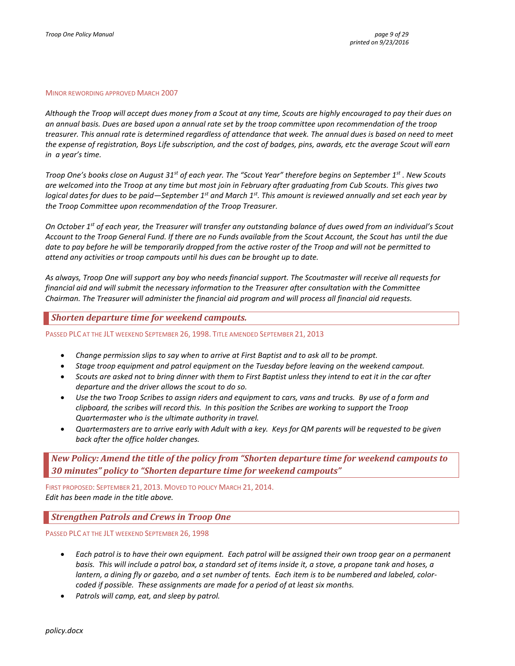#### MINOR REWORDING APPROVED MARCH 2007

*Although the Troop will accept dues money from a Scout at any time, Scouts are highly encouraged to pay their dues on an annual basis. Dues are based upon a annual rate set by the troop committee upon recommendation of the troop treasurer. This annual rate is determined regardless of attendance that week. The annual dues is based on need to meet the expense of registration, Boys Life subscription, and the cost of badges, pins, awards, etc the average Scout will earn in a year's time.*

*Troop One's books close on August 31st of each year. The "Scout Year" therefore begins on September 1st . New Scouts are welcomed into the Troop at any time but most join in February after graduating from Cub Scouts. This gives two logical dates for dues to be paid—September 1st and March 1st. This amount is reviewed annually and set each year by the Troop Committee upon recommendation of the Troop Treasurer.*

*On October 1st of each year, the Treasurer will transfer any outstanding balance of dues owed from an individual's Scout Account to the Troop General Fund. If there are no Funds available from the Scout Account, the Scout has until the due date to pay before he will be temporarily dropped from the active roster of the Troop and will not be permitted to attend any activities or troop campouts until his dues can be brought up to date.*

*As always, Troop One will support any boy who needs financial support. The Scoutmaster will receive all requests for financial aid and will submit the necessary information to the Treasurer after consultation with the Committee Chairman. The Treasurer will administer the financial aid program and will process all financial aid requests.*

<span id="page-8-0"></span>*Shorten departure time for weekend campouts.*

PASSED PLC AT THE JLT WEEKEND SEPTEMBER 26, 1998. TITLE AMENDED SEPTEMBER 21, 2013

- *Change permission slips to say when to arrive at First Baptist and to ask all to be prompt.*
- *Stage troop equipment and patrol equipment on the Tuesday before leaving on the weekend campout.*
- *Scouts are asked not to bring dinner with them to First Baptist unless they intend to eat it in the car after departure and the driver allows the scout to do so.*
- *Use the two Troop Scribes to assign riders and equipment to cars, vans and trucks. By use of a form and clipboard, the scribes will record this. In this position the Scribes are working to support the Troop Quartermaster who is the ultimate authority in travel.*
- *Quartermasters are to arrive early with Adult with a key. Keys for QM parents will be requested to be given back after the office holder changes.*

<span id="page-8-1"></span>*New Policy: Amend the title of the policy from "Shorten departure time for weekend campouts to 30 minutes" policy to "Shorten departure time for weekend campouts"*

FIRST PROPOSED: SEPTEMBER 21, 2013. MOVED TO POLICY MARCH 21, 2014. *Edit has been made in the title above.*

### <span id="page-8-2"></span>*Strengthen Patrols and Crews in Troop One*

PASSED PLC AT THE JLT WEEKEND SEPTEMBER 26, 1998

- *Each patrol is to have their own equipment. Each patrol will be assigned their own troop gear on a permanent basis. This will include a patrol box, a standard set of items inside it, a stove, a propane tank and hoses, a lantern, a dining fly or gazebo, and a set number of tents. Each item is to be numbered and labeled, colorcoded if possible. These assignments are made for a period of at least six months.*
- *Patrols will camp, eat, and sleep by patrol.*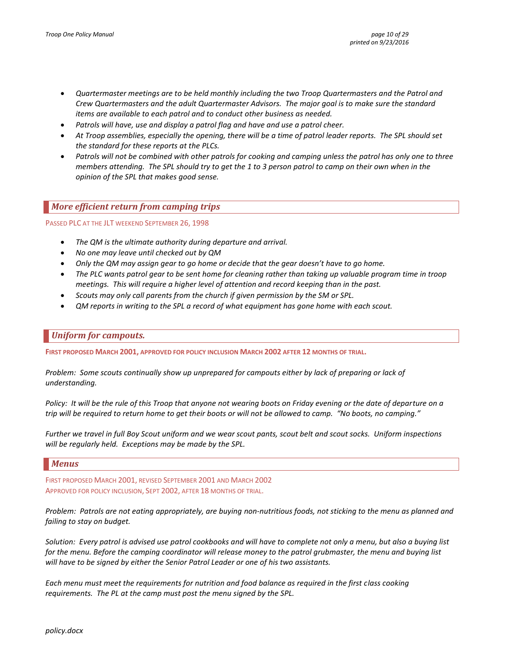- *Quartermaster meetings are to be held monthly including the two Troop Quartermasters and the Patrol and Crew Quartermasters and the adult Quartermaster Advisors. The major goal is to make sure the standard items are available to each patrol and to conduct other business as needed.*
- *Patrols will have, use and display a patrol flag and have and use a patrol cheer.*
- *At Troop assemblies, especially the opening, there will be a time of patrol leader reports. The SPL should set the standard for these reports at the PLCs.*
- *Patrols will not be combined with other patrols for cooking and camping unless the patrol has only one to three members attending. The SPL should try to get the 1 to 3 person patrol to camp on their own when in the opinion of the SPL that makes good sense.*

### <span id="page-9-0"></span>*More efficient return from camping trips*

PASSED PLC AT THE JLT WEEKEND SEPTEMBER 26, 1998

- *The QM is the ultimate authority during departure and arrival.*
- *No one may leave until checked out by QM*
- *Only the QM may assign gear to go home or decide that the gear doesn't have to go home.*
- *The PLC wants patrol gear to be sent home for cleaning rather than taking up valuable program time in troop meetings. This will require a higher level of attention and record keeping than in the past.*
- *Scouts may only call parents from the church if given permission by the SM or SPL.*
- *QM reports in writing to the SPL a record of what equipment has gone home with each scout.*

### <span id="page-9-1"></span>*Uniform for campouts.*

**FIRST PROPOSED MARCH 2001, APPROVED FOR POLICY INCLUSION MARCH 2002 AFTER 12 MONTHS OF TRIAL.**

*Problem: Some scouts continually show up unprepared for campouts either by lack of preparing or lack of understanding.*

*Policy: It will be the rule of this Troop that anyone not wearing boots on Friday evening or the date of departure on a trip will be required to return home to get their boots or will not be allowed to camp. "No boots, no camping."*

*Further we travel in full Boy Scout uniform and we wear scout pants, scout belt and scout socks. Uniform inspections will be regularly held. Exceptions may be made by the SPL.*

#### <span id="page-9-2"></span>*Menus*

FIRST PROPOSED MARCH 2001, REVISED SEPTEMBER 2001 AND MARCH 2002 APPROVED FOR POLICY INCLUSION, SEPT 2002, AFTER 18 MONTHS OF TRIAL.

*Problem: Patrols are not eating appropriately, are buying non-nutritious foods, not sticking to the menu as planned and failing to stay on budget.*

*Solution: Every patrol is advised use patrol cookbooks and will have to complete not only a menu, but also a buying list for the menu. Before the camping coordinator will release money to the patrol grubmaster, the menu and buying list will have to be signed by either the Senior Patrol Leader or one of his two assistants.* 

*Each menu must meet the requirements for nutrition and food balance as required in the first class cooking requirements. The PL at the camp must post the menu signed by the SPL.*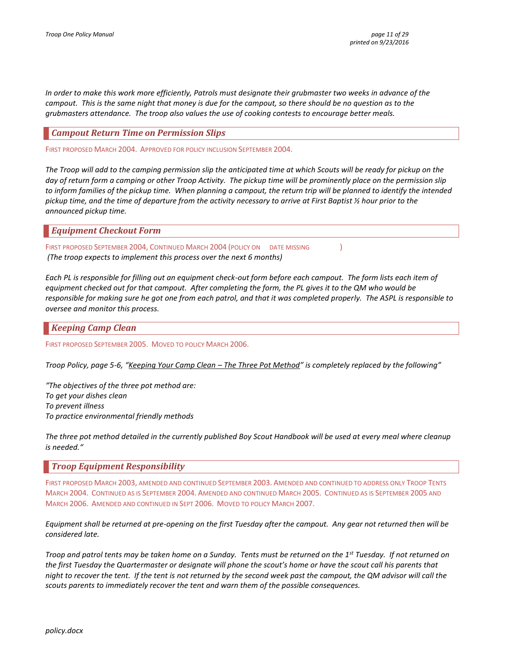*In order to make this work more efficiently, Patrols must designate their grubmaster two weeks in advance of the campout. This is the same night that money is due for the campout, so there should be no question as to the grubmasters attendance. The troop also values the use of cooking contests to encourage better meals.*

### <span id="page-10-0"></span>*Campout Return Time on Permission Slips*

FIRST PROPOSED MARCH 2004. APPROVED FOR POLICY INCLUSION SEPTEMBER 2004.

*The Troop will add to the camping permission slip the anticipated time at which Scouts will be ready for pickup on the day of return form a camping or other Troop Activity. The pickup time will be prominently place on the permission slip to inform families of the pickup time. When planning a campout, the return trip will be planned to identify the intended pickup time, and the time of departure from the activity necessary to arrive at First Baptist ½ hour prior to the announced pickup time.*

### <span id="page-10-1"></span>*Equipment Checkout Form*

FIRST PROPOSED SEPTEMBER 2004, CONTINUED MARCH 2004 (POLICY ON DATE MISSING ) *(The troop expects to implement this process over the next 6 months)*

*Each PL is responsible for filling out an equipment check-out form before each campout. The form lists each item of equipment checked out for that campout. After completing the form, the PL gives it to the QM who would be responsible for making sure he got one from each patrol, and that it was completed properly. The ASPL is responsible to oversee and monitor this process.*

### <span id="page-10-2"></span>*Keeping Camp Clean*

FIRST PROPOSED SEPTEMBER 2005. MOVED TO POLICY MARCH 2006.

*Troop Policy, page 5-6, "Keeping Your Camp Clean – The Three Pot Method" is completely replaced by the following"*

*"The objectives of the three pot method are: To get your dishes clean To prevent illness To practice environmental friendly methods*

*The three pot method detailed in the currently published Boy Scout Handbook will be used at every meal where cleanup is needed."*

### <span id="page-10-3"></span>*Troop Equipment Responsibility*

FIRST PROPOSED MARCH 2003, AMENDED AND CONTINUED SEPTEMBER 2003. AMENDED AND CONTINUED TO ADDRESS ONLY TROOP TENTS MARCH 2004. CONTINUED AS IS SEPTEMBER 2004. AMENDED AND CONTINUED MARCH 2005. CONTINUED AS IS SEPTEMBER 2005 AND MARCH 2006. AMENDED AND CONTINUED IN SEPT 2006. MOVED TO POLICY MARCH 2007.

*Equipment shall be returned at pre-opening on the first Tuesday after the campout. Any gear not returned then will be considered late.*

*Troop and patrol tents may be taken home on a Sunday. Tents must be returned on the 1st Tuesday. If not returned on the first Tuesday the Quartermaster or designate will phone the scout's home or have the scout call his parents that night to recover the tent. If the tent is not returned by the second week past the campout, the QM advisor will call the scouts parents to immediately recover the tent and warn them of the possible consequences.*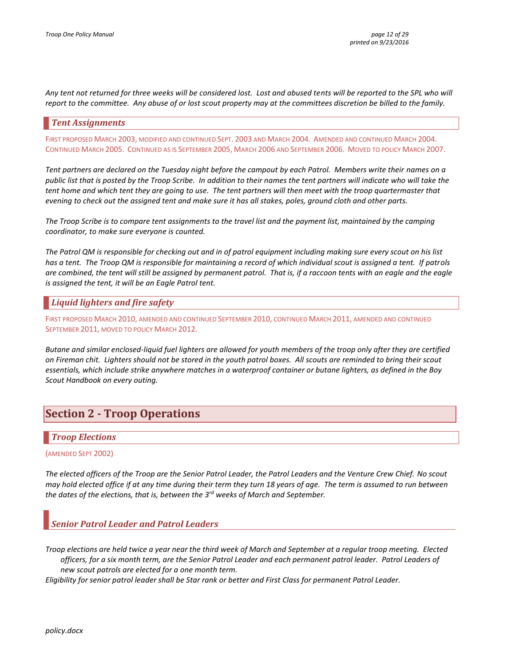Any tent not returned for three weeks will be considered lost. Lost and abused tents will be reported to the SPL who will *report to the committee. Any abuse of or lost scout property may at the committees discretion be billed to the family.* 

### <span id="page-11-0"></span>*Tent Assignments*

FIRST PROPOSED MARCH 2003, MODIFIED AND CONTINUED SEPT. 2003 AND MARCH 2004. AMENDED AND CONTINUED MARCH 2004. CONTINUED MARCH 2005. CONTINUED AS IS SEPTEMBER 2005, MARCH 2006 AND SEPTEMBER 2006. MOVED TO POLICY MARCH 2007.

*Tent partners are declared on the Tuesday night before the campout by each Patrol. Members write their names on a public list that is posted by the Troop Scribe. In addition to their names the tent partners will indicate who will take the tent home and which tent they are going to use. The tent partners will then meet with the troop quartermaster that evening to check out the assigned tent and make sure it has all stakes, poles, ground cloth and other parts.*

*The Troop Scribe is to compare tent assignments to the travel list and the payment list, maintained by the camping coordinator, to make sure everyone is counted.* 

*The Patrol QM is responsible for checking out and in of patrol equipment including making sure every scout on his list has a tent. The Troop QM is responsible for maintaining a record of which individual scout is assigned a tent. If patrols are combined, the tent will still be assigned by permanent patrol. That is, if a raccoon tents with an eagle and the eagle is assigned the tent, it will be an Eagle Patrol tent.*

### <span id="page-11-1"></span>*Liquid lighters and fire safety*

FIRST PROPOSED MARCH 2010, AMENDED AND CONTINUED SEPTEMBER 2010, CONTINUED MARCH 2011, AMENDED AND CONTINUED SEPTEMBER 2011, MOVED TO POLICY MARCH 2012.

*Butane and similar enclosed-liquid fuel lighters are allowed for youth members of the troop only after they are certified on Fireman chit. Lighters should not be stored in the youth patrol boxes. All scouts are reminded to bring their scout essentials, which include strike anywhere matches in a waterproof container or butane lighters, as defined in the Boy Scout Handbook on every outing.*

# <span id="page-11-2"></span>**Section 2 - Troop Operations**

### <span id="page-11-3"></span>*Troop Elections*

#### (AMENDED SEPT 2002)

*The elected officers of the Troop are the Senior Patrol Leader, the Patrol Leaders and the Venture Crew Chief. No scout may hold elected office if at any time during their term they turn 18 years of age. The term is assumed to run between the dates of the elections, that is, between the 3rd weeks of March and September.*

### <span id="page-11-4"></span>*Senior Patrol Leader and Patrol Leaders*

*Troop elections are held twice a year near the third week of March and September at a regular troop meeting. Elected officers, for a six month term, are the Senior Patrol Leader and each permanent patrol leader. Patrol Leaders of new scout patrols are elected for a one month term.* 

*Eligibility for senior patrol leader shall be Star rank or better and First Class for permanent Patrol Leader.*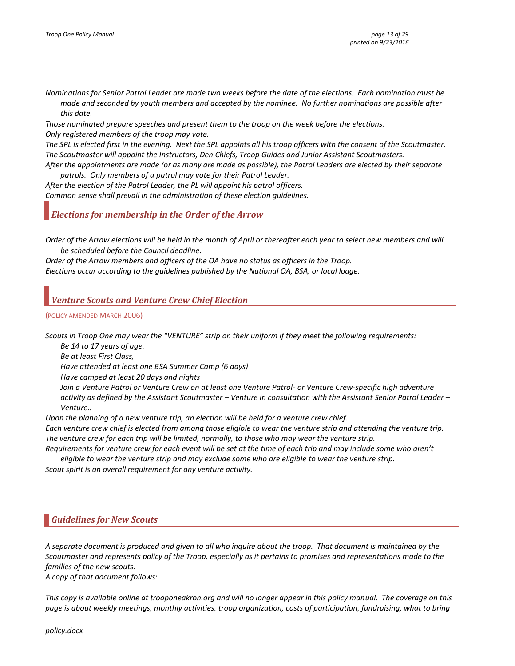*Nominations for Senior Patrol Leader are made two weeks before the date of the elections. Each nomination must be made and seconded by youth members and accepted by the nominee. No further nominations are possible after this date.*

*Those nominated prepare speeches and present them to the troop on the week before the elections. Only registered members of the troop may vote.*

*The SPL is elected first in the evening. Next the SPL appoints all his troop officers with the consent of the Scoutmaster. The Scoutmaster will appoint the Instructors, Den Chiefs, Troop Guides and Junior Assistant Scoutmasters.*

*After the appointments are made (or as many are made as possible), the Patrol Leaders are elected by their separate patrols. Only members of a patrol may vote for their Patrol Leader.*

*After the election of the Patrol Leader, the PL will appoint his patrol officers. Common sense shall prevail in the administration of these election guidelines.*

<span id="page-12-0"></span>*Elections for membership in the Order of the Arrow*

*Order of the Arrow elections will be held in the month of April or thereafter each year to select new members and will be scheduled before the Council deadline.*

*Order of the Arrow members and officers of the OA have no status as officers in the Troop. Elections occur according to the guidelines published by the National OA, BSA, or local lodge.*

### <span id="page-12-1"></span>*Venture Scouts and Venture Crew Chief Election*

#### (POLICY AMENDED MARCH 2006)

*Scouts in Troop One may wear the "VENTURE" strip on their uniform if they meet the following requirements:*

*Be 14 to 17 years of age.*

*Be at least First Class,*

*Have attended at least one BSA Summer Camp (6 days)*

*Have camped at least 20 days and nights*

*Join a Venture Patrol or Venture Crew on at least one Venture Patrol- or Venture Crew-specific high adventure activity as defined by the Assistant Scoutmaster – Venture in consultation with the Assistant Senior Patrol Leader – Venture..*

*Upon the planning of a new venture trip, an election will be held for a venture crew chief.*

*Each venture crew chief is elected from among those eligible to wear the venture strip and attending the venture trip. The venture crew for each trip will be limited, normally, to those who may wear the venture strip.*

*Requirements for venture crew for each event will be set at the time of each trip and may include some who aren't eligible to wear the venture strip and may exclude some who are eligible to wear the venture strip.*

*Scout spirit is an overall requirement for any venture activity.*

#### <span id="page-12-2"></span>*Guidelines for New Scouts*

*A separate document is produced and given to all who inquire about the troop. That document is maintained by the Scoutmaster and represents policy of the Troop, especially as it pertains to promises and representations made to the families of the new scouts.*

*A copy of that document follows:*

*This copy is available online at trooponeakron.org and will no longer appear in this policy manual. The coverage on this page is about weekly meetings, monthly activities, troop organization, costs of participation, fundraising, what to bring*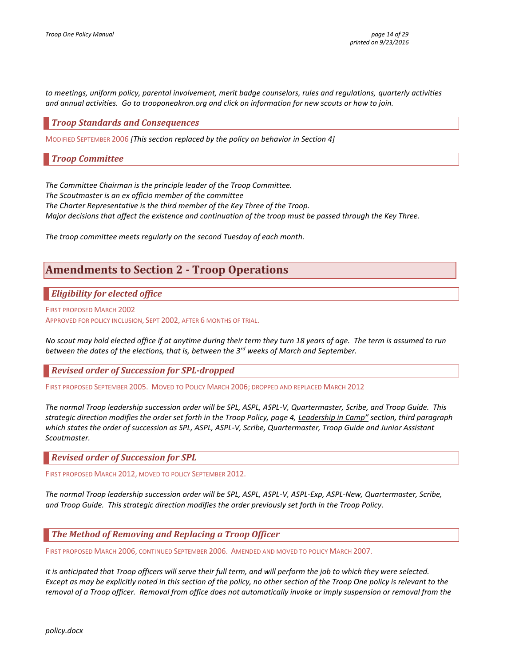*to meetings, uniform policy, parental involvement, merit badge counselors, rules and regulations, quarterly activities and annual activities. Go to trooponeakron.org and click on information for new scouts or how to join.*

### <span id="page-13-0"></span>*Troop Standards and Consequences*

<span id="page-13-1"></span>MODIFIED SEPTEMBER 2006 *[This section replaced by the policy on behavior in Section 4]*

*Troop Committee*

*The Committee Chairman is the principle leader of the Troop Committee.*

*The Scoutmaster is an ex officio member of the committee*

*The Charter Representative is the third member of the Key Three of the Troop.* 

*Major decisions that affect the existence and continuation of the troop must be passed through the Key Three.*

<span id="page-13-2"></span>*The troop committee meets regularly on the second Tuesday of each month.*

# **Amendments to Section 2 - Troop Operations**

<span id="page-13-3"></span>*Eligibility for elected office*

FIRST PROPOSED MARCH 2002

APPROVED FOR POLICY INCLUSION, SEPT 2002, AFTER 6 MONTHS OF TRIAL.

*No scout may hold elected office if at anytime during their term they turn 18 years of age. The term is assumed to run between the dates of the elections, that is, between the 3rd weeks of March and September.*

<span id="page-13-4"></span>*Revised order of Succession for SPL-dropped*

FIRST PROPOSED SEPTEMBER 2005. MOVED TO POLICY MARCH 2006; DROPPED AND REPLACED MARCH 2012

*The normal Troop leadership succession order will be SPL, ASPL, ASPL-V, Quartermaster, Scribe, and Troop Guide. This strategic direction modifies the order set forth in the Troop Policy, page 4, Leadership in Camp" section, third paragraph which states the order of succession as SPL, ASPL, ASPL-V, Scribe, Quartermaster, Troop Guide and Junior Assistant Scoutmaster.*

<span id="page-13-5"></span>*Revised order of Succession for SPL*

FIRST PROPOSED MARCH 2012, MOVED TO POLICY SEPTEMBER 2012.

*The normal Troop leadership succession order will be SPL, ASPL, ASPL-V, ASPL-Exp, ASPL-New, Quartermaster, Scribe, and Troop Guide. This strategic direction modifies the order previously set forth in the Troop Policy.*

<span id="page-13-6"></span>*The Method of Removing and Replacing a Troop Officer*

FIRST PROPOSED MARCH 2006, CONTINUED SEPTEMBER 2006. AMENDED AND MOVED TO POLICY MARCH 2007.

*It is anticipated that Troop officers will serve their full term, and will perform the job to which they were selected. Except as may be explicitly noted in this section of the policy, no other section of the Troop One policy is relevant to the removal of a Troop officer. Removal from office does not automatically invoke or imply suspension or removal from the*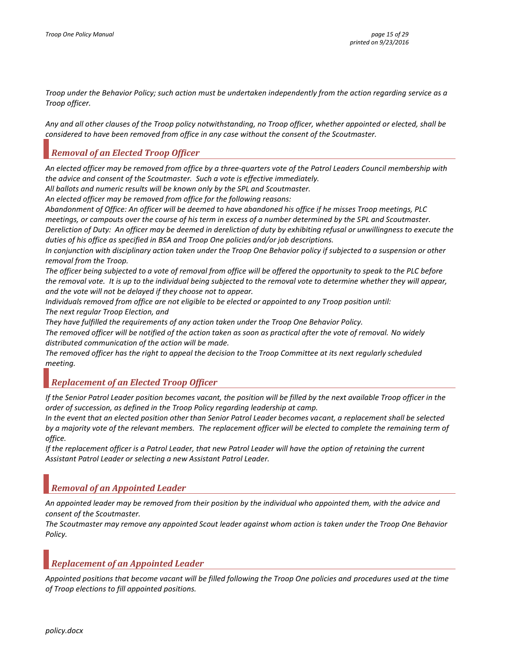*Troop under the Behavior Policy; such action must be undertaken independently from the action regarding service as a Troop officer.*

*Any and all other clauses of the Troop policy notwithstanding, no Troop officer, whether appointed or elected, shall be considered to have been removed from office in any case without the consent of the Scoutmaster.*

### <span id="page-14-0"></span>*Removal of an Elected Troop Officer*

*An elected officer may be removed from office by a three-quarters vote of the Patrol Leaders Council membership with the advice and consent of the Scoutmaster. Such a vote is effective immediately.*

*All ballots and numeric results will be known only by the SPL and Scoutmaster.*

*An elected officer may be removed from office for the following reasons:*

*Abandonment of Office: An officer will be deemed to have abandoned his office if he misses Troop meetings, PLC meetings, or campouts over the course of his term in excess of a number determined by the SPL and Scoutmaster. Dereliction of Duty: An officer may be deemed in dereliction of duty by exhibiting refusal or unwillingness to execute the duties of his office as specified in BSA and Troop One policies and/or job descriptions.*

*In conjunction with disciplinary action taken under the Troop One Behavior policy if subjected to a suspension or other removal from the Troop.*

*The officer being subjected to a vote of removal from office will be offered the opportunity to speak to the PLC before the removal vote. It is up to the individual being subjected to the removal vote to determine whether they will appear, and the vote will not be delayed if they choose not to appear.*

*Individuals removed from office are not eligible to be elected or appointed to any Troop position until:*

*The next regular Troop Election, and*

*They have fulfilled the requirements of any action taken under the Troop One Behavior Policy.*

*The removed officer will be notified of the action taken as soon as practical after the vote of removal. No widely distributed communication of the action will be made.*

*The removed officer has the right to appeal the decision to the Troop Committee at its next regularly scheduled meeting.*

### <span id="page-14-1"></span>*Replacement of an Elected Troop Officer*

*If the Senior Patrol Leader position becomes vacant, the position will be filled by the next available Troop officer in the order of succession, as defined in the Troop Policy regarding leadership at camp.*

*In the event that an elected position other than Senior Patrol Leader becomes vacant, a replacement shall be selected by a majority vote of the relevant members. The replacement officer will be elected to complete the remaining term of office.*

*If the replacement officer is a Patrol Leader, that new Patrol Leader will have the option of retaining the current Assistant Patrol Leader or selecting a new Assistant Patrol Leader.*

### <span id="page-14-2"></span>*Removal of an Appointed Leader*

*An appointed leader may be removed from their position by the individual who appointed them, with the advice and consent of the Scoutmaster.*

*The Scoutmaster may remove any appointed Scout leader against whom action is taken under the Troop One Behavior Policy.*

### <span id="page-14-3"></span>*Replacement of an Appointed Leader*

*Appointed positions that become vacant will be filled following the Troop One policies and procedures used at the time of Troop elections to fill appointed positions.*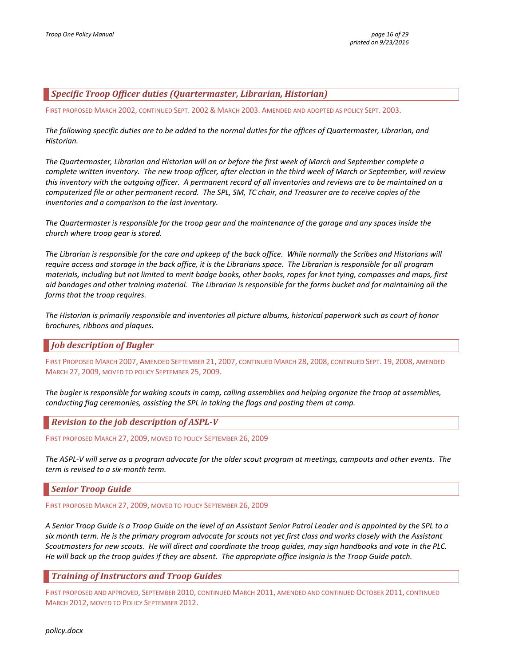### <span id="page-15-0"></span>*Specific Troop Officer duties (Quartermaster, Librarian, Historian)*

FIRST PROPOSED MARCH 2002, CONTINUED SEPT. 2002 & MARCH 2003. AMENDED AND ADOPTED AS POLICY SEPT. 2003.

*The following specific duties are to be added to the normal duties for the offices of Quartermaster, Librarian, and Historian.*

*The Quartermaster, Librarian and Historian will on or before the first week of March and September complete a complete written inventory. The new troop officer, after election in the third week of March or September, will review this inventory with the outgoing officer. A permanent record of all inventories and reviews are to be maintained on a computerized file or other permanent record. The SPL, SM, TC chair, and Treasurer are to receive copies of the inventories and a comparison to the last inventory.* 

*The Quartermaster is responsible for the troop gear and the maintenance of the garage and any spaces inside the church where troop gear is stored.*

*The Librarian is responsible for the care and upkeep of the back office. While normally the Scribes and Historians will require access and storage in the back office, it is the Librarians space. The Librarian is responsible for all program materials, including but not limited to merit badge books, other books, ropes for knot tying, compasses and maps, first aid bandages and other training material. The Librarian is responsible for the forms bucket and for maintaining all the forms that the troop requires.*

*The Historian is primarily responsible and inventories all picture albums, historical paperwork such as court of honor brochures, ribbons and plaques.*

### <span id="page-15-1"></span>*Job description of Bugler*

FIRST PROPOSED MARCH 2007, AMENDED SEPTEMBER 21, 2007, CONTINUED MARCH 28, 2008, CONTINUED SEPT. 19, 2008, AMENDED MARCH 27, 2009, MOVED TO POLICY SEPTEMBER 25, 2009.

*The bugler is responsible for waking scouts in camp, calling assemblies and helping organize the troop at assemblies, conducting flag ceremonies, assisting the SPL in taking the flags and posting them at camp.* 

<span id="page-15-2"></span>*Revision to the job description of ASPL-V*

FIRST PROPOSED MARCH 27, 2009, MOVED TO POLICY SEPTEMBER 26, 2009

*The ASPL-V will serve as a program advocate for the older scout program at meetings, campouts and other events. The term is revised to a six-month term.* 

### <span id="page-15-3"></span>*Senior Troop Guide*

FIRST PROPOSED MARCH 27, 2009, MOVED TO POLICY SEPTEMBER 26, 2009

*A Senior Troop Guide is a Troop Guide on the level of an Assistant Senior Patrol Leader and is appointed by the SPL to a six month term. He is the primary program advocate for scouts not yet first class and works closely with the Assistant Scoutmasters for new scouts. He will direct and coordinate the troop guides, may sign handbooks and vote in the PLC. He will back up the troop guides if they are absent. The appropriate office insignia is the Troop Guide patch.*

<span id="page-15-4"></span>*Training of Instructors and Troop Guides*

FIRST PROPOSED AND APPROVED, SEPTEMBER 2010, CONTINUED MARCH 2011, AMENDED AND CONTINUED OCTOBER 2011, CONTINUED MARCH 2012, MOVED TO POLICY SEPTEMBER 2012.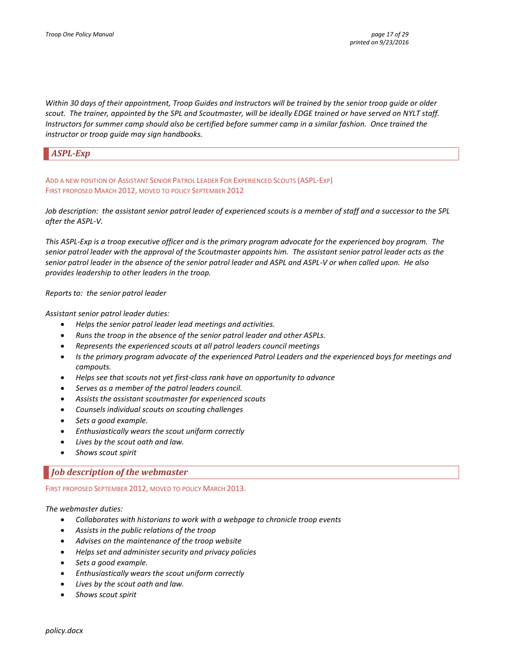*Within 30 days of their appointment, Troop Guides and Instructors will be trained by the senior troop guide or older scout. The trainer, appointed by the SPL and Scoutmaster, will be ideally EDGE trained or have served on NYLT staff. Instructors for summer camp should also be certified before summer camp in a similar fashion. Once trained the instructor or troop guide may sign handbooks.*

### <span id="page-16-0"></span>*ASPL-Exp*

ADD A NEW POSITION OF ASSISTANT SENIOR PATROL LEADER FOR EXPERIENCED SCOUTS (ASPL-EXP) FIRST PROPOSED MARCH 2012, MOVED TO POLICY SEPTEMBER 2012

*Job description: the assistant senior patrol leader of experienced scouts is a member of staff and a successor to the SPL after the ASPL-V.* 

*This ASPL-Exp is a troop executive officer and is the primary program advocate for the experienced boy program. The senior patrol leader with the approval of the Scoutmaster appoints him. The assistant senior patrol leader acts as the senior patrol leader in the absence of the senior patrol leader and ASPL and ASPL-V or when called upon. He also provides leadership to other leaders in the troop.*

*Reports to: the senior patrol leader*

*Assistant senior patrol leader duties:*

- *Helps the senior patrol leader lead meetings and activities.*
- *Runs the troop in the absence of the senior patrol leader and other ASPLs.*
- *Represents the experienced scouts at all patrol leaders council meetings*
- *Is the primary program advocate of the experienced Patrol Leaders and the experienced boys for meetings and campouts.*
- *Helps see that scouts not yet first-class rank have an opportunity to advance*
- *Serves as a member of the patrol leaders council.*
- *Assists the assistant scoutmaster for experienced scouts*
- *Counsels individual scouts on scouting challenges*
- *Sets a good example.*
- *Enthusiastically wears the scout uniform correctly*
- *Lives by the scout oath and law.*
- *Shows scout spirit*

#### <span id="page-16-1"></span>*Job description of the webmaster*

FIRST PROPOSED SEPTEMBER 2012, MOVED TO POLICY MARCH 2013.

#### *The webmaster duties:*

- *Collaborates with historians to work with a webpage to chronicle troop events*
- *Assists in the public relations of the troop*
- *Advises on the maintenance of the troop website*
- *Helps set and administer security and privacy policies*
- *Sets a good example.*
- *Enthusiastically wears the scout uniform correctly*
- *Lives by the scout oath and law.*
- *Shows scout spirit*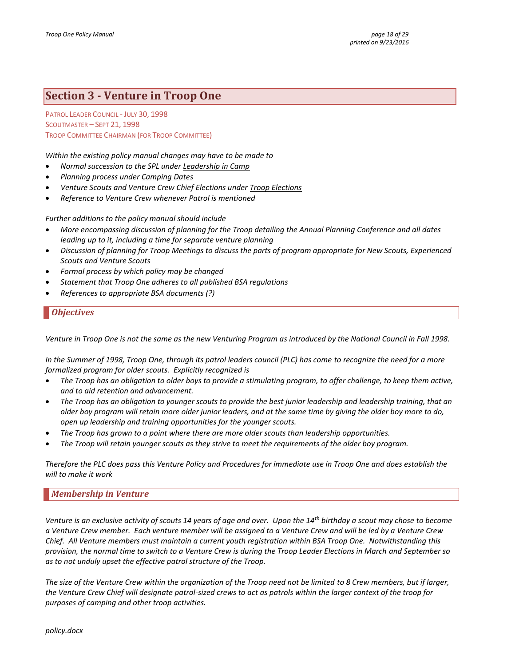# <span id="page-17-0"></span>**Section 3 - Venture in Troop One**

PATROL LEADER COUNCIL - JULY 30, 1998 SCOUTMASTER – SEPT 21, 1998 TROOP COMMITTEE CHAIRMAN (FOR TROOP COMMITTEE)

*Within the existing policy manual changes may have to be made to* 

- *Normal succession to the SPL under Leadership in Camp*
- *Planning process under Camping Dates*
- *Venture Scouts and Venture Crew Chief Elections under Troop Elections*
- *Reference to Venture Crew whenever Patrol is mentioned*

*Further additions to the policy manual should include*

- *More encompassing discussion of planning for the Troop detailing the Annual Planning Conference and all dates leading up to it, including a time for separate venture planning*
- *Discussion of planning for Troop Meetings to discuss the parts of program appropriate for New Scouts, Experienced Scouts and Venture Scouts*
- *Formal process by which policy may be changed*
- *Statement that Troop One adheres to all published BSA regulations*
- <span id="page-17-1"></span>*References to appropriate BSA documents (?)*

### *Objectives*

*Venture in Troop One is not the same as the new Venturing Program as introduced by the National Council in Fall 1998.*

*In the Summer of 1998, Troop One, through its patrol leaders council (PLC) has come to recognize the need for a more formalized program for older scouts. Explicitly recognized is* 

- *The Troop has an obligation to older boys to provide a stimulating program, to offer challenge, to keep them active, and to aid retention and advancement.*
- *The Troop has an obligation to younger scouts to provide the best junior leadership and leadership training, that an older boy program will retain more older junior leaders, and at the same time by giving the older boy more to do, open up leadership and training opportunities for the younger scouts.*
- *The Troop has grown to a point where there are more older scouts than leadership opportunities.*
- *The Troop will retain younger scouts as they strive to meet the requirements of the older boy program.*

*Therefore the PLC does pass this Venture Policy and Procedures for immediate use in Troop One and does establish the will to make it work*

### <span id="page-17-2"></span>*Membership in Venture*

*Venture is an exclusive activity of scouts 14 years of age and over. Upon the 14th birthday a scout may chose to become a Venture Crew member. Each venture member will be assigned to a Venture Crew and will be led by a Venture Crew Chief. All Venture members must maintain a current youth registration within BSA Troop One. Notwithstanding this provision, the normal time to switch to a Venture Crew is during the Troop Leader Elections in March and September so as to not unduly upset the effective patrol structure of the Troop.*

*The size of the Venture Crew within the organization of the Troop need not be limited to 8 Crew members, but if larger, the Venture Crew Chief will designate patrol-sized crews to act as patrols within the larger context of the troop for purposes of camping and other troop activities.*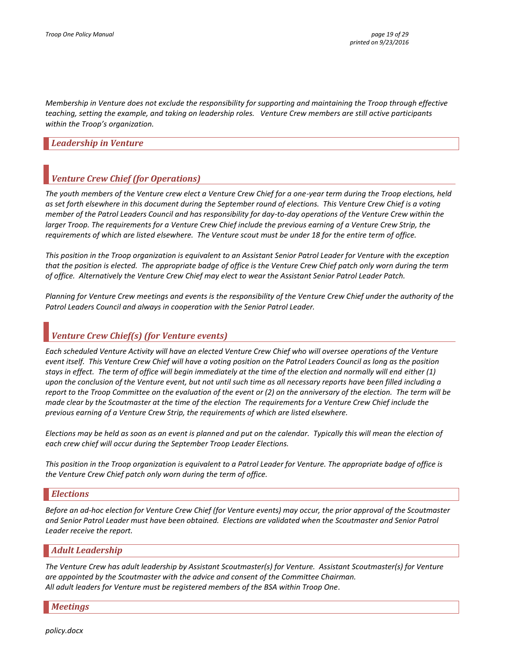*Membership in Venture does not exclude the responsibility for supporting and maintaining the Troop through effective teaching, setting the example, and taking on leadership roles. Venture Crew members are still active participants within the Troop's organization.*

### <span id="page-18-0"></span>*Leadership in Venture*

### <span id="page-18-1"></span>*Venture Crew Chief (for Operations)*

*The youth members of the Venture crew elect a Venture Crew Chief for a one-year term during the Troop elections, held as set forth elsewhere in this document during the September round of elections. This Venture Crew Chief is a voting member of the Patrol Leaders Council and has responsibility for day-to-day operations of the Venture Crew within the larger Troop. The requirements for a Venture Crew Chief include the previous earning of a Venture Crew Strip, the requirements of which are listed elsewhere. The Venture scout must be under 18 for the entire term of office.*

*This position in the Troop organization is equivalent to an Assistant Senior Patrol Leader for Venture with the exception that the position is elected. The appropriate badge of office is the Venture Crew Chief patch only worn during the term of office. Alternatively the Venture Crew Chief may elect to wear the Assistant Senior Patrol Leader Patch.*

*Planning for Venture Crew meetings and events is the responsibility of the Venture Crew Chief under the authority of the Patrol Leaders Council and always in cooperation with the Senior Patrol Leader.*

### <span id="page-18-2"></span>*Venture Crew Chief(s) (for Venture events)*

*Each scheduled Venture Activity will have an elected Venture Crew Chief who will oversee operations of the Venture event itself. This Venture Crew Chief will have a voting position on the Patrol Leaders Council as long as the position stays in effect. The term of office will begin immediately at the time of the election and normally will end either (1) upon the conclusion of the Venture event, but not until such time as all necessary reports have been filled including a report to the Troop Committee on the evaluation of the event or (2) on the anniversary of the election. The term will be made clear by the Scoutmaster at the time of the election The requirements for a Venture Crew Chief include the previous earning of a Venture Crew Strip, the requirements of which are listed elsewhere.*

*Elections may be held as soon as an event is planned and put on the calendar. Typically this will mean the election of each crew chief will occur during the September Troop Leader Elections.*

*This position in the Troop organization is equivalent to a Patrol Leader for Venture. The appropriate badge of office is the Venture Crew Chief patch only worn during the term of office.* 

#### <span id="page-18-3"></span>*Elections*

*Before an ad-hoc election for Venture Crew Chief (for Venture events) may occur, the prior approval of the Scoutmaster and Senior Patrol Leader must have been obtained. Elections are validated when the Scoutmaster and Senior Patrol Leader receive the report.* 

### <span id="page-18-4"></span>*Adult Leadership*

*The Venture Crew has adult leadership by Assistant Scoutmaster(s) for Venture. Assistant Scoutmaster(s) for Venture are appointed by the Scoutmaster with the advice and consent of the Committee Chairman. All adult leaders for Venture must be registered members of the BSA within Troop One.* 

<span id="page-18-5"></span>*Meetings*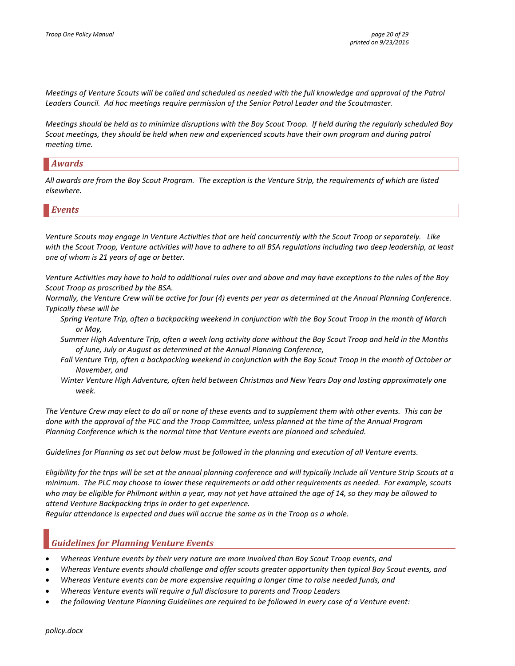*Meetings of Venture Scouts will be called and scheduled as needed with the full knowledge and approval of the Patrol Leaders Council. Ad hoc meetings require permission of the Senior Patrol Leader and the Scoutmaster.*

*Meetings should be held as to minimize disruptions with the Boy Scout Troop. If held during the regularly scheduled Boy Scout meetings, they should be held when new and experienced scouts have their own program and during patrol meeting time.*

### <span id="page-19-0"></span>*Awards*

*All awards are from the Boy Scout Program. The exception is the Venture Strip, the requirements of which are listed elsewhere.*

#### <span id="page-19-1"></span>*Events*

*Venture Scouts may engage in Venture Activities that are held concurrently with the Scout Troop or separately. Like with the Scout Troop, Venture activities will have to adhere to all BSA regulations including two deep leadership, at least one of whom is 21 years of age or better.*

*Venture Activities may have to hold to additional rules over and above and may have exceptions to the rules of the Boy Scout Troop as proscribed by the BSA.*

*Normally, the Venture Crew will be active for four (4) events per year as determined at the Annual Planning Conference. Typically these will be*

- *Spring Venture Trip, often a backpacking weekend in conjunction with the Boy Scout Troop in the month of March or May,*
- *Summer High Adventure Trip, often a week long activity done without the Boy Scout Troop and held in the Months of June, July or August as determined at the Annual Planning Conference,*
- *Fall Venture Trip, often a backpacking weekend in conjunction with the Boy Scout Troop in the month of October or November, and*
- *Winter Venture High Adventure, often held between Christmas and New Years Day and lasting approximately one week.*

*The Venture Crew may elect to do all or none of these events and to supplement them with other events. This can be done with the approval of the PLC and the Troop Committee, unless planned at the time of the Annual Program Planning Conference which is the normal time that Venture events are planned and scheduled.*

*Guidelines for Planning as set out below must be followed in the planning and execution of all Venture events.*

*Eligibility for the trips will be set at the annual planning conference and will typically include all Venture Strip Scouts at a minimum. The PLC may choose to lower these requirements or add other requirements as needed. For example, scouts who may be eligible for Philmont within a year, may not yet have attained the age of 14, so they may be allowed to attend Venture Backpacking trips in order to get experience.*

*Regular attendance is expected and dues will accrue the same as in the Troop as a whole.* 

### <span id="page-19-2"></span>*Guidelines for Planning Venture Events*

- *Whereas Venture events by their very nature are more involved than Boy Scout Troop events, and*
- *Whereas Venture events should challenge and offer scouts greater opportunity then typical Boy Scout events, and*
- *Whereas Venture events can be more expensive requiring a longer time to raise needed funds, and*
- *Whereas Venture events will require a full disclosure to parents and Troop Leaders*
- *the following Venture Planning Guidelines are required to be followed in every case of a Venture event:*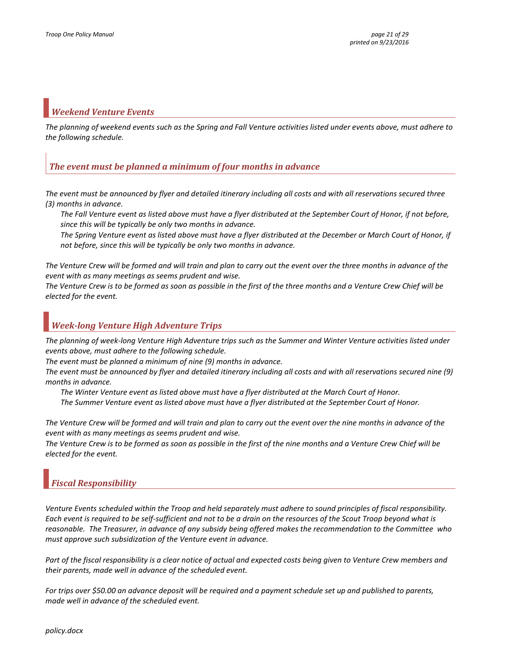### <span id="page-20-0"></span>*Weekend Venture Events*

*The planning of weekend events such as the Spring and Fall Venture activities listed under events above, must adhere to the following schedule.*

### <span id="page-20-1"></span>*The event must be planned a minimum of four months in advance*

*The event must be announced by flyer and detailed itinerary including all costs and with all reservations secured three (3) months in advance.*

*The Fall Venture event as listed above must have a flyer distributed at the September Court of Honor, if not before, since this will be typically be only two months in advance.*

*The Spring Venture event as listed above must have a flyer distributed at the December or March Court of Honor, if not before, since this will be typically be only two months in advance.*

*The Venture Crew will be formed and will train and plan to carry out the event over the three months in advance of the event with as many meetings as seems prudent and wise.*

*The Venture Crew is to be formed as soon as possible in the first of the three months and a Venture Crew Chief will be elected for the event.*

### <span id="page-20-2"></span>*Week-long Venture High Adventure Trips*

*The planning of week-long Venture High Adventure trips such as the Summer and Winter Venture activities listed under events above, must adhere to the following schedule.*

*The event must be planned a minimum of nine (9) months in advance.*

*The event must be announced by flyer and detailed itinerary including all costs and with all reservations secured nine (9) months in advance.*

*The Winter Venture event as listed above must have a flyer distributed at the March Court of Honor.*

*The Summer Venture event as listed above must have a flyer distributed at the September Court of Honor.*

*The Venture Crew will be formed and will train and plan to carry out the event over the nine months in advance of the event with as many meetings as seems prudent and wise.*

*The Venture Crew is to be formed as soon as possible in the first of the nine months and a Venture Crew Chief will be elected for the event.*

### <span id="page-20-3"></span>*Fiscal Responsibility*

*Venture Events scheduled within the Troop and held separately must adhere to sound principles of fiscal responsibility. Each event is required to be self-sufficient and not to be a drain on the resources of the Scout Troop beyond what is reasonable. The Treasurer, in advance of any subsidy being offered makes the recommendation to the Committee who must approve such subsidization of the Venture event in advance.* 

Part of the fiscal responsibility is a clear notice of actual and expected costs being given to Venture Crew members and *their parents, made well in advance of the scheduled event.* 

*For trips over \$50.00 an advance deposit will be required and a payment schedule set up and published to parents, made well in advance of the scheduled event.*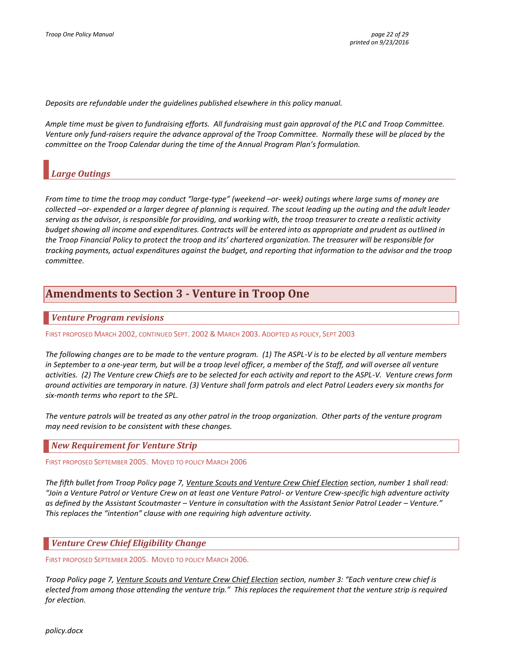*Deposits are refundable under the guidelines published elsewhere in this policy manual.*

*Ample time must be given to fundraising efforts. All fundraising must gain approval of the PLC and Troop Committee. Venture only fund-raisers require the advance approval of the Troop Committee. Normally these will be placed by the committee on the Troop Calendar during the time of the Annual Program Plan's formulation.*

### <span id="page-21-0"></span>*Large Outings*

*From time to time the troop may conduct "large-type" (weekend –or- week) outings where large sums of money are collected –or- expended or a larger degree of planning is required. The scout leading up the outing and the adult leader serving as the advisor, is responsible for providing, and working with, the troop treasurer to create a realistic activity budget showing all income and expenditures. Contracts will be entered into as appropriate and prudent as outlined in the Troop Financial Policy to protect the troop and its' chartered organization. The treasurer will be responsible for tracking payments, actual expenditures against the budget, and reporting that information to the advisor and the troop committee.*

# <span id="page-21-1"></span>**Amendments to Section 3 - Venture in Troop One**

### <span id="page-21-2"></span>*Venture Program revisions*

FIRST PROPOSED MARCH 2002, CONTINUED SEPT. 2002 & MARCH 2003. ADOPTED AS POLICY, SEPT 2003

*The following changes are to be made to the venture program. (1) The ASPL-V is to be elected by all venture members*  in September to a one-year term, but will be a troop level officer, a member of the Staff, and will oversee all venture *activities. (2) The Venture crew Chiefs are to be selected for each activity and report to the ASPL-V. Venture crews form around activities are temporary in nature. (3) Venture shall form patrols and elect Patrol Leaders every six months for six-month terms who report to the SPL.* 

*The venture patrols will be treated as any other patrol in the troop organization. Other parts of the venture program may need revision to be consistent with these changes.*

#### <span id="page-21-3"></span>*New Requirement for Venture Strip*

FIRST PROPOSED SEPTEMBER 2005. MOVED TO POLICY MARCH 2006

*The fifth bullet from Troop Policy page 7, Venture Scouts and Venture Crew Chief Election section, number 1 shall read: "Join a Venture Patrol or Venture Crew on at least one Venture Patrol- or Venture Crew-specific high adventure activity as defined by the Assistant Scoutmaster – Venture in consultation with the Assistant Senior Patrol Leader – Venture." This replaces the "intention" clause with one requiring high adventure activity.*

### <span id="page-21-4"></span>*Venture Crew Chief Eligibility Change*

FIRST PROPOSED SEPTEMBER 2005. MOVED TO POLICY MARCH 2006.

*Troop Policy page 7, Venture Scouts and Venture Crew Chief Election section, number 3: "Each venture crew chief is elected from among those attending the venture trip." This replaces the requirement that the venture strip is required for election.*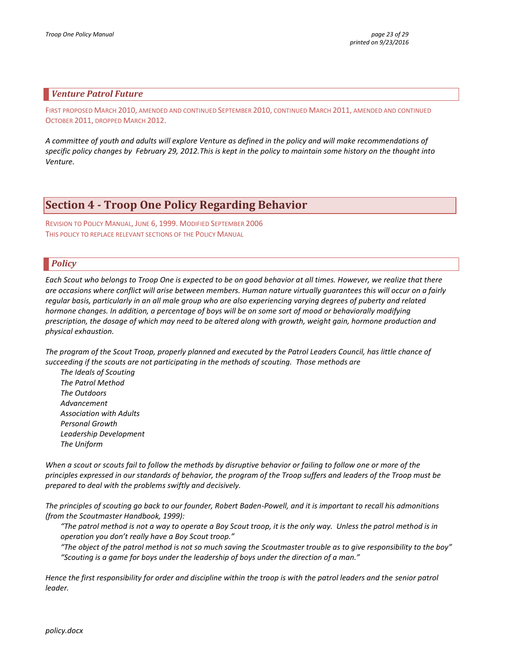### <span id="page-22-0"></span>*Venture Patrol Future*

FIRST PROPOSED MARCH 2010, AMENDED AND CONTINUED SEPTEMBER 2010, CONTINUED MARCH 2011, AMENDED AND CONTINUED OCTOBER 2011, DROPPED MARCH 2012.

*A committee of youth and adults will explore Venture as defined in the policy and will make recommendations of specific policy changes by February 29, 2012.This is kept in the policy to maintain some history on the thought into Venture.*

# <span id="page-22-1"></span>**Section 4 - Troop One Policy Regarding Behavior**

REVISION TO POLICY MANUAL, JUNE 6, 1999. MODIFIED SEPTEMBER 2006 THIS POLICY TO REPLACE RELEVANT SECTIONS OF THE POLICY MANUAL

### <span id="page-22-2"></span>*Policy*

*Each Scout who belongs to Troop One is expected to be on good behavior at all times. However, we realize that there are occasions where conflict will arise between members. Human nature virtually guarantees this will occur on a fairly regular basis, particularly in an all male group who are also experiencing varying degrees of puberty and related hormone changes. In addition, a percentage of boys will be on some sort of mood or behaviorally modifying prescription, the dosage of which may need to be altered along with growth, weight gain, hormone production and physical exhaustion.*

*The program of the Scout Troop, properly planned and executed by the Patrol Leaders Council, has little chance of succeeding if the scouts are not participating in the methods of scouting. Those methods are* 

*The Ideals of Scouting The Patrol Method The Outdoors Advancement Association with Adults Personal Growth Leadership Development The Uniform*

*When a scout or scouts fail to follow the methods by disruptive behavior or failing to follow one or more of the principles expressed in our standards of behavior, the program of the Troop suffers and leaders of the Troop must be prepared to deal with the problems swiftly and decisively.* 

*The principles of scouting go back to our founder, Robert Baden-Powell, and it is important to recall his admonitions (from the Scoutmaster Handbook, 1999):*

*"The patrol method is not a way to operate a Boy Scout troop, it is the only way. Unless the patrol method is in operation you don't really have a Boy Scout troop."*

*"The object of the patrol method is not so much saving the Scoutmaster trouble as to give responsibility to the boy" "Scouting is a game for boys under the leadership of boys under the direction of a man."*

*Hence the first responsibility for order and discipline within the troop is with the patrol leaders and the senior patrol leader.*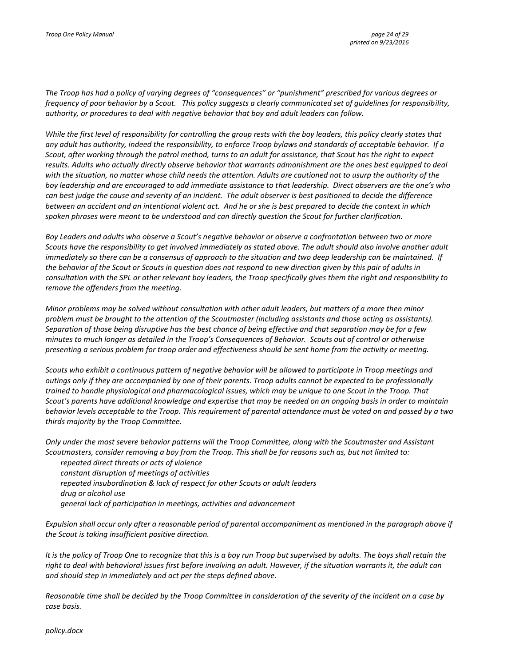*The Troop has had a policy of varying degrees of "consequences" or "punishment" prescribed for various degrees or frequency of poor behavior by a Scout. This policy suggests a clearly communicated set of guidelines for responsibility, authority, or procedures to deal with negative behavior that boy and adult leaders can follow.* 

*While the first level of responsibility for controlling the group rests with the boy leaders, this policy clearly states that any adult has authority, indeed the responsibility, to enforce Troop bylaws and standards of acceptable behavior. If a Scout, after working through the patrol method, turns to an adult for assistance, that Scout has the right to expect results. Adults who actually directly observe behavior that warrants admonishment are the ones best equipped to deal with the situation, no matter whose child needs the attention. Adults are cautioned not to usurp the authority of the boy leadership and are encouraged to add immediate assistance to that leadership. Direct observers are the one's who can best judge the cause and severity of an incident. The adult observer is best positioned to decide the difference between an accident and an intentional violent act. And he or she is best prepared to decide the context in which spoken phrases were meant to be understood and can directly question the Scout for further clarification.* 

*Boy Leaders and adults who observe a Scout's negative behavior or observe a confrontation between two or more Scouts have the responsibility to get involved immediately as stated above. The adult should also involve another adult immediately so there can be a consensus of approach to the situation and two deep leadership can be maintained. If the behavior of the Scout or Scouts in question does not respond to new direction given by this pair of adults in consultation with the SPL or other relevant boy leaders, the Troop specifically gives them the right and responsibility to remove the offenders from the meeting.* 

*Minor problems may be solved without consultation with other adult leaders, but matters of a more then minor problem must be brought to the attention of the Scoutmaster (including assistants and those acting as assistants). Separation of those being disruptive has the best chance of being effective and that separation may be for a few minutes to much longer as detailed in the Troop's Consequences of Behavior. Scouts out of control or otherwise presenting a serious problem for troop order and effectiveness should be sent home from the activity or meeting.*

*Scouts who exhibit a continuous pattern of negative behavior will be allowed to participate in Troop meetings and outings only if they are accompanied by one of their parents. Troop adults cannot be expected to be professionally trained to handle physiological and pharmacological issues, which may be unique to one Scout in the Troop. That Scout's parents have additional knowledge and expertise that may be needed on an ongoing basis in order to maintain behavior levels acceptable to the Troop. This requirement of parental attendance must be voted on and passed by a two thirds majority by the Troop Committee.* 

*Only under the most severe behavior patterns will the Troop Committee, along with the Scoutmaster and Assistant Scoutmasters, consider removing a boy from the Troop. This shall be for reasons such as, but not limited to:*

*repeated direct threats or acts of violence constant disruption of meetings of activities repeated insubordination & lack of respect for other Scouts or adult leaders drug or alcohol use general lack of participation in meetings, activities and advancement*

*Expulsion shall occur only after a reasonable period of parental accompaniment as mentioned in the paragraph above if the Scout is taking insufficient positive direction.*

*It is the policy of Troop One to recognize that this is a boy run Troop but supervised by adults. The boys shall retain the right to deal with behavioral issues first before involving an adult. However, if the situation warrants it, the adult can and should step in immediately and act per the steps defined above.* 

*Reasonable time shall be decided by the Troop Committee in consideration of the severity of the incident on a case by case basis.*

*policy.docx*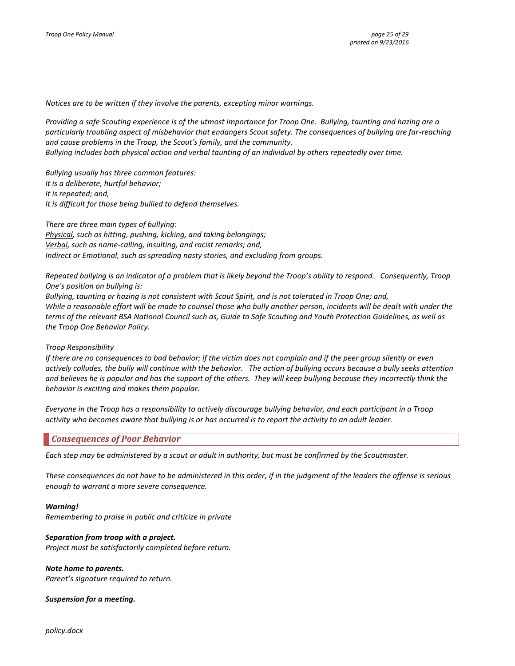*Notices are to be written if they involve the parents, excepting minor warnings.*

*Providing a safe Scouting experience is of the utmost importance for Troop One. Bullying, taunting and hazing are a particularly troubling aspect of misbehavior that endangers Scout safety. The consequences of bullying are far-reaching and cause problems in the Troop, the Scout's family, and the community. Bullying includes both physical action and verbal taunting of an individual by others repeatedly over time.*

*Bullying usually has three common features: It is a deliberate, hurtful behavior; It is repeated; and, It is difficult for those being bullied to defend themselves.* 

*There are three main types of bullying: Physical, such as hitting, pushing, kicking, and taking belongings; Verbal, such as name-calling, insulting, and racist remarks; and, Indirect or Emotional, such as spreading nasty stories, and excluding from groups.* 

*Repeated bullying is an indicator of a problem that is likely beyond the Troop's ability to respond. Consequently, Troop One's position on bullying is:*

*Bullying, taunting or hazing is not consistent with Scout Spirit, and is not tolerated in Troop One; and, While a reasonable effort will be made to counsel those who bully another person, incidents will be dealt with under the terms of the relevant BSA National Council such as, Guide to Safe Scouting and Youth Protection Guidelines, as well as the Troop One Behavior Policy.*

#### *Troop Responsibility*

*If there are no consequences to bad behavior; if the victim does not complain and if the peer group silently or even actively colludes, the bully will continue with the behavior. The action of bullying occurs because a bully seeks attention and believes he is popular and has the support of the others. They will keep bullying because they incorrectly think the behavior is exciting and makes them popular.* 

*Everyone in the Troop has a responsibility to actively discourage bullying behavior, and each participant in a Troop activity who becomes aware that bullying is or has occurred is to report the activity to an adult leader.*

### <span id="page-24-0"></span>*Consequences of Poor Behavior*

*Each step may be administered by a scout or adult in authority, but must be confirmed by the Scoutmaster.*

*These consequences do not have to be administered in this order, if in the judgment of the leaders the offense is serious enough to warrant a more severe consequence.*

#### *Warning!*

*Remembering to praise in public and criticize in private*

#### *Separation from troop with a project.*

*Project must be satisfactorily completed before return.*

#### *Note home to parents.*

*Parent's signature required to return.*

#### *Suspension for a meeting.*

*policy.docx*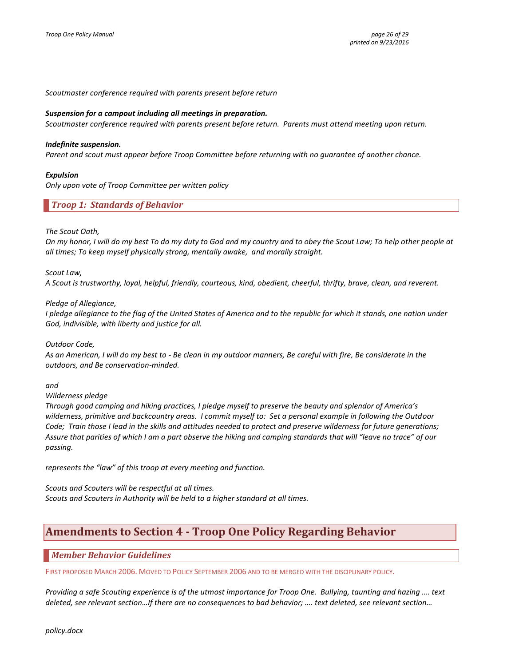*Scoutmaster conference required with parents present before return*

#### *Suspension for a campout including all meetings in preparation.*

*Scoutmaster conference required with parents present before return. Parents must attend meeting upon return.*

#### *Indefinite suspension.*

*Parent and scout must appear before Troop Committee before returning with no guarantee of another chance.*

#### *Expulsion*

<span id="page-25-0"></span>*Only upon vote of Troop Committee per written policy*

*Troop 1: Standards of Behavior*

#### *The Scout Oath,*

*On my honor, I will do my best To do my duty to God and my country and to obey the Scout Law; To help other people at all times; To keep myself physically strong, mentally awake, and morally straight.*

#### *Scout Law,*

*A Scout is trustworthy, loyal, helpful, friendly, courteous, kind, obedient, cheerful, thrifty, brave, clean, and reverent.*

#### *Pledge of Allegiance,*

*I pledge allegiance to the flag of the United States of America and to the republic for which it stands, one nation under God, indivisible, with liberty and justice for all.*

#### *Outdoor Code,*

*As an American, I will do my best to - Be clean in my outdoor manners, Be careful with fire, Be considerate in the outdoors, and Be conservation-minded.* 

#### *and*

#### *Wilderness pledge*

*Through good camping and hiking practices, I pledge myself to preserve the beauty and splendor of America's wilderness, primitive and backcountry areas. I commit myself to: Set a personal example in following the Outdoor Code; Train those I lead in the skills and attitudes needed to protect and preserve wilderness for future generations; Assure that parities of which I am a part observe the hiking and camping standards that will "leave no trace" of our passing.*

*represents the "law" of this troop at every meeting and function.*

<span id="page-25-1"></span>*Scouts and Scouters will be respectful at all times. Scouts and Scouters in Authority will be held to a higher standard at all times.*

### **Amendments to Section 4 - Troop One Policy Regarding Behavior**

### <span id="page-25-2"></span>*Member Behavior Guidelines*

FIRST PROPOSED MARCH 2006. MOVED TO POLICY SEPTEMBER 2006 AND TO BE MERGED WITH THE DISCIPLINARY POLICY.

*Providing a safe Scouting experience is of the utmost importance for Troop One. Bullying, taunting and hazing …. text deleted, see relevant section…If there are no consequences to bad behavior; …. text deleted, see relevant section…*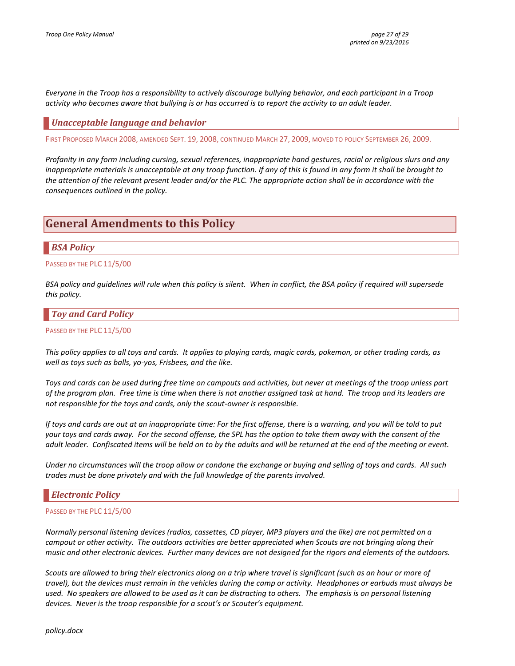*Everyone in the Troop has a responsibility to actively discourage bullying behavior, and each participant in a Troop activity who becomes aware that bullying is or has occurred is to report the activity to an adult leader.*

### <span id="page-26-0"></span>*Unacceptable language and behavior*

FIRST PROPOSED MARCH 2008, AMENDED SEPT. 19, 2008, CONTINUED MARCH 27, 2009, MOVED TO POLICY SEPTEMBER 26, 2009.

*Profanity in any form including cursing, sexual references, inappropriate hand gestures, racial or religious slurs and any inappropriate materials is unacceptable at any troop function. If any of this is found in any form it shall be brought to the attention of the relevant present leader and/or the PLC. The appropriate action shall be in accordance with the consequences outlined in the policy.*

# <span id="page-26-1"></span>**General Amendments to this Policy**

### <span id="page-26-2"></span>*BSA Policy*

PASSED BY THE PLC 11/5/00

*BSA policy and guidelines will rule when this policy is silent. When in conflict, the BSA policy if required will supersede this policy.*

### <span id="page-26-3"></span>*Toy and Card Policy*

#### PASSED BY THE PLC 11/5/00

*This policy applies to all toys and cards. It applies to playing cards, magic cards, pokemon, or other trading cards, as well as toys such as balls, yo-yos, Frisbees, and the like.* 

*Toys and cards can be used during free time on campouts and activities, but never at meetings of the troop unless part of the program plan. Free time is time when there is not another assigned task at hand. The troop and its leaders are not responsible for the toys and cards, only the scout-owner is responsible.* 

*If toys and cards are out at an inappropriate time: For the first offense, there is a warning, and you will be told to put your toys and cards away. For the second offense, the SPL has the option to take them away with the consent of the adult leader. Confiscated items will be held on to by the adults and will be returned at the end of the meeting or event.* 

*Under no circumstances will the troop allow or condone the exchange or buying and selling of toys and cards. All such trades must be done privately and with the full knowledge of the parents involved.*

### <span id="page-26-4"></span>*Electronic Policy*

#### PASSED BY THE PLC 11/5/00

*Normally personal listening devices (radios, cassettes, CD player, MP3 players and the like) are not permitted on a campout or other activity. The outdoors activities are better appreciated when Scouts are not bringing along their music and other electronic devices. Further many devices are not designed for the rigors and elements of the outdoors.*

*Scouts are allowed to bring their electronics along on a trip where travel is significant (such as an hour or more of travel), but the devices must remain in the vehicles during the camp or activity. Headphones or earbuds must always be used. No speakers are allowed to be used as it can be distracting to others. The emphasis is on personal listening devices. Never is the troop responsible for a scout's or Scouter's equipment.*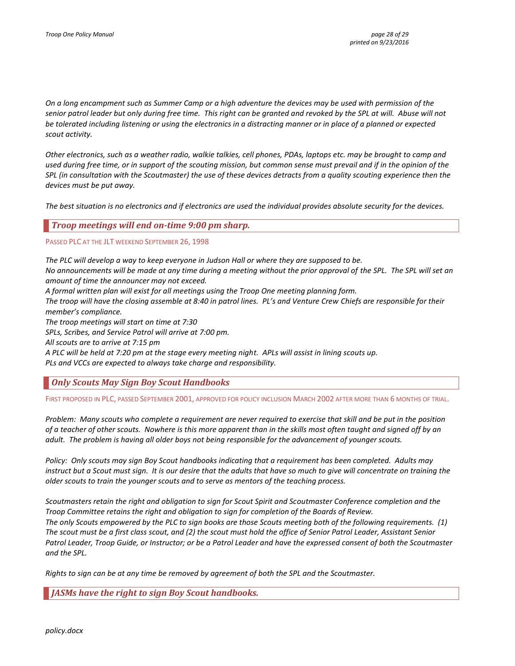*On a long encampment such as Summer Camp or a high adventure the devices may be used with permission of the senior patrol leader but only during free time. This right can be granted and revoked by the SPL at will. Abuse will not be tolerated including listening or using the electronics in a distracting manner or in place of a planned or expected scout activity.*

*Other electronics, such as a weather radio, walkie talkies, cell phones, PDAs, laptops etc. may be brought to camp and used during free time, or in support of the scouting mission, but common sense must prevail and if in the opinion of the SPL (in consultation with the Scoutmaster) the use of these devices detracts from a quality scouting experience then the devices must be put away.* 

<span id="page-27-0"></span>*The best situation is no electronics and if electronics are used the individual provides absolute security for the devices.*

*Troop meetings will end on-time 9:00 pm sharp.*

PASSED PLC AT THE JLT WEEKEND SEPTEMBER 26, 1998

*The PLC will develop a way to keep everyone in Judson Hall or where they are supposed to be.*

*No announcements will be made at any time during a meeting without the prior approval of the SPL. The SPL will set an amount of time the announcer may not exceed.*

*A formal written plan will exist for all meetings using the Troop One meeting planning form.*

*The troop will have the closing assemble at 8:40 in patrol lines. PL's and Venture Crew Chiefs are responsible for their member's compliance.*

*The troop meetings will start on time at 7:30*

*SPLs, Scribes, and Service Patrol will arrive at 7:00 pm.*

*All scouts are to arrive at 7:15 pm*

*A PLC will be held at 7:20 pm at the stage every meeting night. APLs will assist in lining scouts up. PLs and VCCs are expected to always take charge and responsibility.*

<span id="page-27-1"></span>*Only Scouts May Sign Boy Scout Handbooks*

FIRST PROPOSED IN PLC, PASSED SEPTEMBER 2001, APPROVED FOR POLICY INCLUSION MARCH 2002 AFTER MORE THAN 6 MONTHS OF TRIAL.

*Problem: Many scouts who complete a requirement are never required to exercise that skill and be put in the position of a teacher of other scouts. Nowhere is this more apparent than in the skills most often taught and signed off by an adult. The problem is having all older boys not being responsible for the advancement of younger scouts.*

*Policy: Only scouts may sign Boy Scout handbooks indicating that a requirement has been completed. Adults may instruct but a Scout must sign. It is our desire that the adults that have so much to give will concentrate on training the older scouts to train the younger scouts and to serve as mentors of the teaching process.* 

*Scoutmasters retain the right and obligation to sign for Scout Spirit and Scoutmaster Conference completion and the Troop Committee retains the right and obligation to sign for completion of the Boards of Review. The only Scouts empowered by the PLC to sign books are those Scouts meeting both of the following requirements. (1) The scout must be a first class scout, and (2) the scout must hold the office of Senior Patrol Leader, Assistant Senior Patrol Leader, Troop Guide, or Instructor; or be a Patrol Leader and have the expressed consent of both the Scoutmaster and the SPL.* 

<span id="page-27-2"></span>*Rights to sign can be at any time be removed by agreement of both the SPL and the Scoutmaster.*

*JASMs have the right to sign Boy Scout handbooks.*